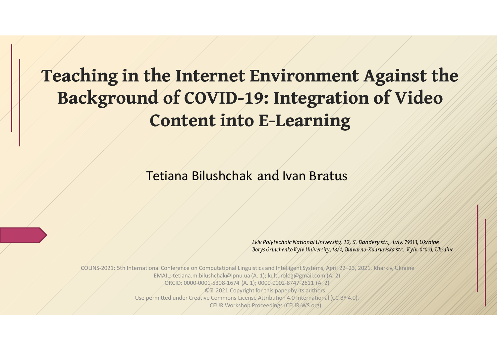### **Teaching in the Internet Environment Against the Background of COVID-19: Integration of Video Content into E-Learning**

Тetiana Bilushchak and Ivan Bratus

*Lviv PolytechnicNational University, 12, S. Bandery str., Lviv, 79013,Ukraine Borys Grinchenko Kyiv University, 18/2, Bulvarno-Kudriavska str., Kyiv, 04053, Ukraine*

International Conference on Computational Linguistics and Intelligent Systems, April 22–23, 2021, Kharkiv, Ukraine EMAIL: tetiana.m.bilushchak@lpnu.ua (A. 1); kulturolog@gmail.com (A. 2) ORCID: 0000-0001-5308-1674 (A. 1); 0000-0002-8747-2611 (A. 2) © 2021 Copyright for this paper by its authors. Use permitted under Creative Commons License Attribution 4.0 International (CC BY 4.0) CEUR Workshop Proceedings (CEUR-WS.org)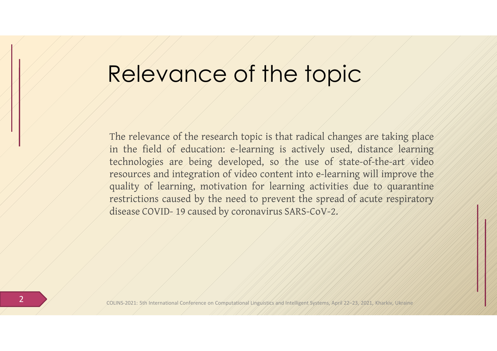## Relevance of the topic

The relevance of the research topic is that radical changes are taking place in the field of education: e-learning is actively used, distance learning technologies are being developed, so the use of state-of-the-art video resources and integration of video content into e-learning will improve the quality of learning, motivation for learning activities due to quarantine restrictions caused by the need to prevent the spread of acute respiratory disease COVID- 19 caused by coronavirus SARS-CoV-2.

5th International Conference on Computational Linguistics and Intelligent Systems,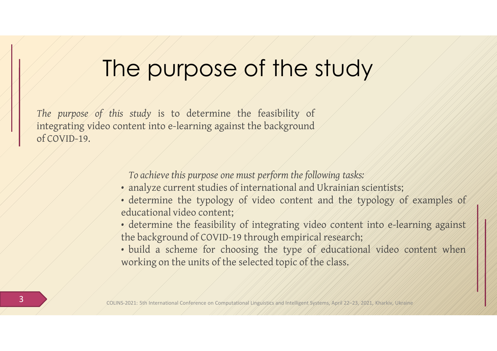## The purpose of the study

*The purpose of this study* is to determine the feasibility of integrating video content into e-learning against the background of COVID-19.

*To achieve this purpose one must perform the following tasks:* 

- analyze current studies of international and Ukrainian scientists;
- determine the typology of video content and the typology of examples of educational video content;
- determine the feasibility of integrating video content into e-learning against the background of COVID-19 through empirical research;
- build a scheme for choosing the type of educational video content when working on the units of the selected topic of the class.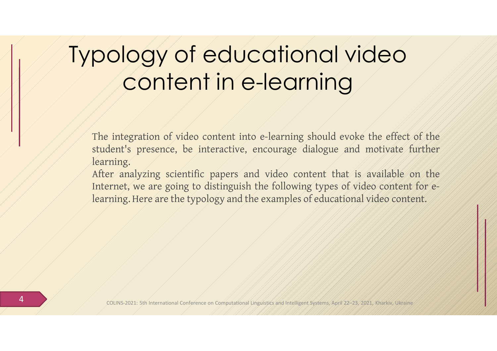### Typology of educational video content in e-learning

The integration of video content into e-learning should evoke the effect of the student's presence, be interactive, encourage dialogue and motivate further learning.

After analyzing scientific papers and video content that is available on the Internet, we are going to distinguish the following types of video content for elearning. Here are the typology and the examples of educational video content.

Conference on Computational Linguistics and Intelligent Systems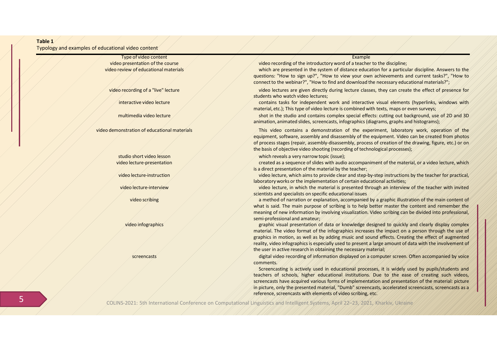#### **Table 1**

#### Typology and examples of educational video content

Type of video content Example Content Content Content Content Content Content Content Content Content Content Content Content Content Content Content Content Content Content Content Content Content Content Content Content

video presentation of the course video recording of the introductory word of a teacher to the discipline;

video review of educational materials which are presented in the system of distance education for a particular discipline. Answers to the questions: "How to sign up?", "How to view your own achievements and current tasks?", "How to connect to the webinar?", "How to find and download the necessary educational materials?";

video recording of a "live" lecture video video lectures are given directly during lecture classes, they can create the effect of presence for students who watch video lectures;

interactive video lecture and the contains tasks for independent work and interactive visual elements (hyperlinks, windows with material, etc.); This type of video lecture is combined with texts, maps or even surveys;

multimedia video lecture  $\angle$  shot in the studio and contains complex special effects: cutting out background, use of 2D and 3D animation, animated slides, screencasts, infographics (diagrams, graphs and histograms);

video demonstration of educational materials and the state of this video contains a demonstration of the experiment, laboratory work, operation of the equipment, software, assembly and disassembly of the equipment. Video can be created from photos of process stages (repair, assembly-disassembly, process of creation of the drawing, figure, etc.) or on the basis of objective video shooting (recording of technological processes);

studio short video lesson **which reveals a very narrow topic (issue);** which reveals a very narrow topic (issue);

video lecture-presentation and the created as a sequence of slides with audio accompaniment of the material, or a video lecture, which is a direct presentation of the material by the teacher;

video lecture-instruction video lecture, which aims to provide clear and step-by-step instructions by the teacher for practical, laboratory works or the implementation of certain educational activities;

video lecture-interview video lecture, in which the material is presented through an interview of the teacher with invited scientists and specialists on specific educational issues

video scribing a method of narration or explanation, accompanied by a graphic illustration of the main content of what is said. The main purpose of scribing is to help better master the content and remember the meaning of new information by involving visualization. Video scribing can be divided into professional, semi-professional and amateur;

video infographics graphic visual presentation of data or knowledge designed to quickly and clearly display complex material. The video format of the infographics increases the impact on a person through the use of graphics in motion, as well as by adding music and sound effects. Creating the effect of augmented reality, video infographics is especially used to present a large amount of data with the involvement of the user in active research in obtaining the necessary material;

screencasts and the correlation of the digital video recording of information displayed on a computer screen. Often accompanied by voice comments.

> Screencasting is actively used in educational processes, it is widely used by pupils/students and teachers of schools, higher educational institutions. Due to the ease of creating such videos, screencasts have acquired various forms of implementation and presentation of the material: picture in picture, only the presented material, "Dumb" screencasts, accelerated screencasts, screencasts as a reference, screencasts with elements of video scribing, etc.

5 COLINS-2021: 5th International Conference on Computational Linguistics and Intelligent Systems, April 22–23, 2021, Kharkiv, Ukraine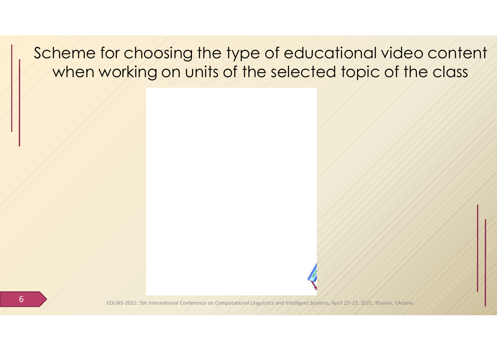#### Scheme for choosing the type of educational video content when working on units of the selected topic of the class

**6** COLINS-2021: 5th International Conference on Computational Linguistics and Intelligent Systems, April 2021, Systems, April 2021, Systems, April 2021, 2021, Systems, April 2021, April 2021, 2021, Ethiopian Conference on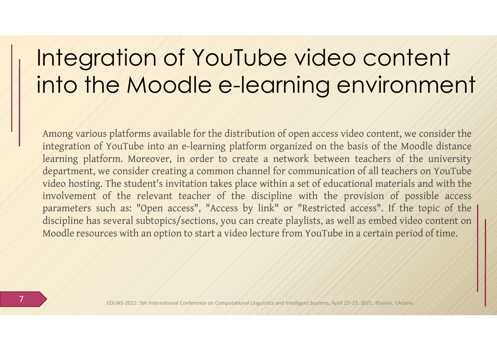## Integration of YouTube video content into the Moodle e-learning environment

Among various platforms available for the distribution of open access video content, we consider the integration of YouTube into an e-learning platform organized on the basis of the Moodle distance learning platform. Moreover, in order to create a network between teachers of the university department, we consider creating a common channel for communication of all teachers on YouTube video hosting. The student's invitation takes place within a set of educational materials and with the involvement of the relevant teacher of the discipline with the provision of possible access parameters such as: "Open access", "Access by link" or "Restricted access". If the topic of the discipline has several subtopics/sections, you can create playlists, as well as embed video content on Moodle resources with an option to start a video lecture from YouTube in a certain period of time.

7 COLINS-2021: 5th International Conference on Computational Linguistics and Intelligent Systems, April 22–23, 2021, Kharkiv, Ukraine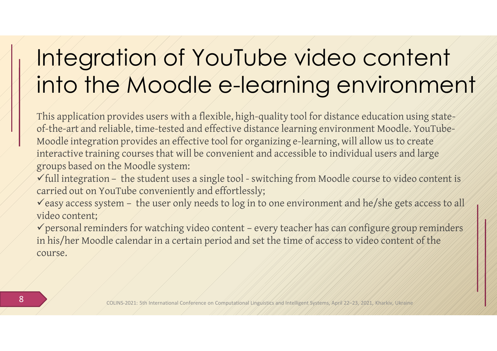## Integration of YouTube video content into the Moodle e-learning environment

This application provides users with a flexible, high-quality tool for distance education using stateof-the-art and reliable, time-tested and effective distance learning environment Moodle. YouTube-Moodle integration provides an effective tool for organizing e-learning, will allow us to create interactive training courses that will be convenient and accessible to individual users and large groups based on the Moodle system:

full integration – the student uses a single tool - switching from Moodle course to video content is carried out on YouTube conveniently and effortlessly;

easy access system – the user only needs to log in to one environment and he/she gets access to all video content;

personal reminders for watching video content – every teacher has can configure group reminders in his/her Moodle calendar in a certain period and set the time of access to video content of the course.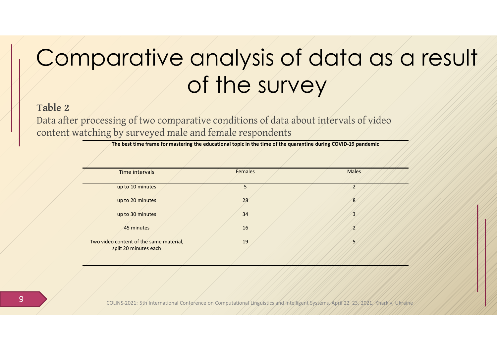#### **Table 2**

Data after processing of two comparative conditions of data about intervals of video content watching by surveyed male and female respondents

**The best time frame for mastering the educational topic in the time of the quarantine during COVID-19 pandemic**

| Time intervals                          | <b>Females</b> |  | <b>Males</b>     |  |
|-----------------------------------------|----------------|--|------------------|--|
|                                         |                |  |                  |  |
| up to 10 minutes                        | 5              |  |                  |  |
|                                         |                |  |                  |  |
| up to 20 minutes                        | 28             |  | 8                |  |
|                                         |                |  |                  |  |
| up to 30 minutes                        | 34             |  | 3                |  |
| 45 minutes                              | 16             |  | $\boldsymbol{z}$ |  |
|                                         |                |  |                  |  |
| Two video content of the same material, | 19             |  | 5                |  |
| split 20 minutes each                   |                |  |                  |  |
|                                         |                |  |                  |  |

**9** COLINS-2021: 5th International Conference on Computational Linguistics and Intelligent Systems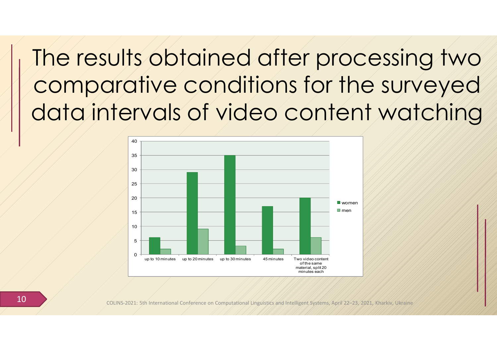The results obtained after processing two comparative conditions for the surveyed data intervals of video content watching



10 COLINS-2021: 5th International Conference on Computational Linguistics and Intelligent Systems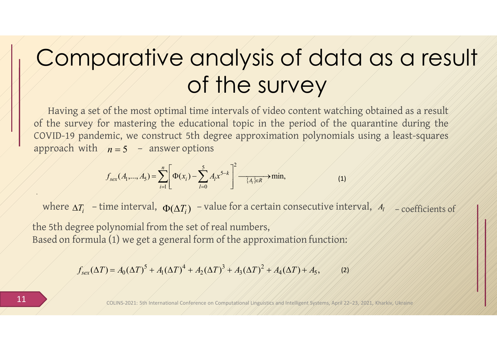Having a set of the most optimal time intervals of video content watching obtained as a result of the survey for mastering the educational topic in the period of the quarantine during the COVID-19 pandemic, we construct 5th degree approximation polynomials using a least-squares approach with  $/n = 5$   $\rightarrow$  answer options

$$
f_{\text{sex}}(A_1,...,A_5) = \sum_{i=1}^n \left[ \Phi(x_i) - \sum_{l=0}^5 A_l x^{5-k} \right]^2 \xrightarrow{\{A_l\} \in R} \min,
$$
 (1)

where  $\Delta T_i$  – time interval,  $\Phi(\Delta T_i)$  –value for a certain consecutive interval, *A*<sub>l</sub> – coefficients of

the 5th degree polynomial from the set of real numbers, Based on formula  $(1)$  we get a general form of the approximation function:

> $(\Delta T) = A_0 (\Delta T)^3 + A_1 (\Delta T)^4 + A_2 (\Delta T)^3 + A_3 (\Delta T)^2 + A_4 (\Delta T) + A_5,$  (2) 2 3 3 2 4 1  $f'_{sex}(\Delta T) = A_0(\Delta T)^5 + A_1(\Delta T)^4 + A_2(\Delta T)^3 + A_3(\Delta T)^2 + A_4(\Delta T) + A_5$

11 COLINS-2021: 5th International Conference on Computational Linguistics and Intelligent Systems, April 22–23, 2021, Kharkiv, Ukraine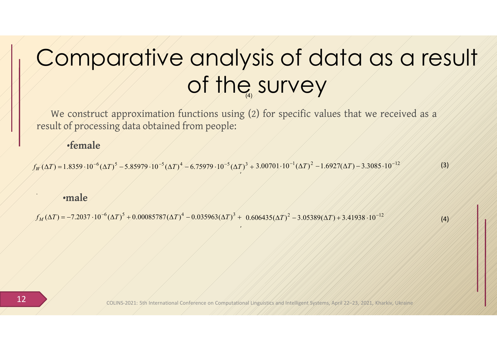We construct approximation functions using (2) for specific values that we received as a result of processing data obtained from people:

#### •**female**

 $f_W(\Delta T) = 1.8359 \cdot 10^{-6} (\Delta T)^5 - 5.85979 \cdot 10^{-5} (\Delta T)^4 - 6.75979 \cdot 10^{-5} (\Delta T)^3 + 3.00701 \cdot 10^{-1} (\Delta T)^2 - 1.6927 (\Delta T) - 3.3085 \cdot 10^{-12}$ (3)

,

#### •**male**

 $f_M'(\Delta T) = -7.2037 \cdot 10^{-6} (\Delta T)^5 + 0.00085787 (\Delta T)^4 - 0.035963 (\Delta T)^3 + 0.606435 (\Delta T)^2 - 3.05389 (\Delta T) + 3.41938 \cdot 10^{-12}$ 

 $\langle 4\rangle$ 

12 COLINS-2021: 5th International Conference on Computational Linguistics and Intelligent Systems, Apr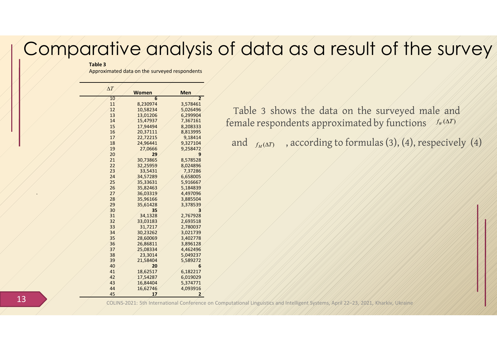#### **Table 3**

Approximated data on the surveyed respondents

| $\Delta T$ |              |                |
|------------|--------------|----------------|
|            | <b>Women</b> | <b>Men</b>     |
| 10         | 6            | $\overline{2}$ |
| 11         | 8,230974     | 3,578461       |
| 12         | 10,58234     | 5,026496       |
| 13         | 13,01206     | 6,299904       |
| 14         | 15,47937     | 7,367161       |
| 15         | 17,94494     | 8,208333       |
| 16         | 20,37111     | 8,813995       |
| 17         | 22,72215     | 9,18414        |
| 18         | 24,96441     | 9,327104       |
| 19         | 27,0666      | 9,258472       |
| 20         | 29           | 9              |
| 21         | 30,73865     | 8,578528       |
| 22         | 32,25959     | 8,024896       |
| 23         | 33,5431      | 7,37286        |
| 24         | 34,57289     | 6,658005       |
| 25         | 35,33631     | 5,916667       |
| 26         | 35,82463     | 5,184839       |
| 27         | 36,03319     | 4,497096       |
| 28         | 35,96166     | 3,885504       |
| 29         | 35,61428     | 3,378539       |
| 30         | 35           | 3              |
| 31         | 34,1328      | 2,767928       |
| 32         | 33,03183     | 2,693518       |
| 33         | 31,7217      | 2,780037       |
| 34         | 30,23262     | 3,021739       |
| 35         | 28,60069     | 3,402778       |
| 36         | 26,86811     | 3,896128       |
| 37         | 25,08334     | 4,462496       |
| 38         | 23,3014      | 5,049237       |
| 39         | 21,58404     | 5,589272       |
| 40         | 20           | 6              |
| 41         | 18,62517     | 6,182217       |
| 42         | 17,54287     | 6,019029       |
| 43         | 16,84404     | 5,374771       |
| 44         | 16,62746     | 4,093916       |
| 45         | 17           | 2              |

*f* emale respondents approximated by functions fr  $(Y, Y)$ Table 3 shows the data on the surveyed male and

and  $f_{M}(\Delta T)$ , according to formulas (3), (4), respecively (4)

13 COLINS-2021: 5th International Conference on Computational Linguistics and Intelligent Systems, April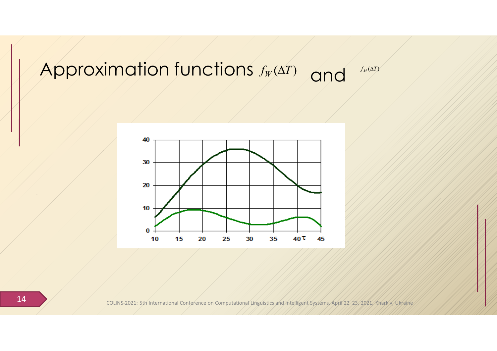### *Approximation functions*  $f_W(\Delta T)$  and  $f_W(\Delta T)$



14 COLINS-2021: 5th International Conference on Computational Linguistics and Intelligent Systems, April 22–23, 2021, Kharkiv, Ukraine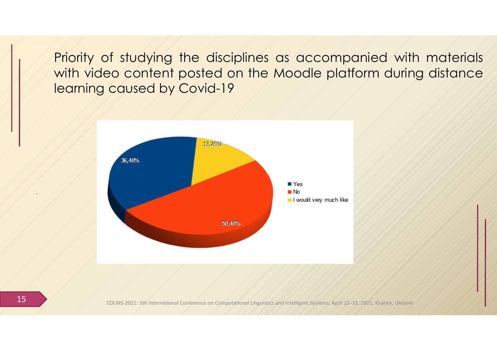Priority of studying the disciplines as accompanied with materials with video content posted on the Moodle platform during distance learning caused by Covid-19



15 COLINS-2021: 5th International Conference on Computational Linguistics and Intelligent Systems, April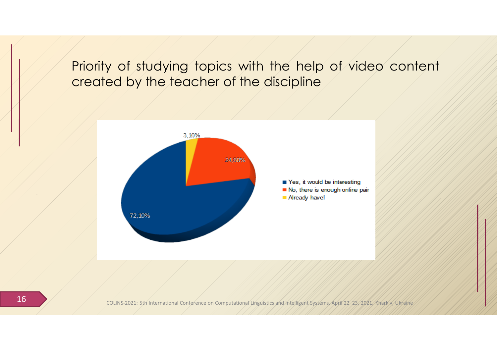#### Priority of studying topics with the help of video content created by the teacher of the discipline



16 COLINS-2021: 5th International Conference on Computational Linguistics and Intelligent Systems, April 22–23, 2021, Kharkiv, Ukraine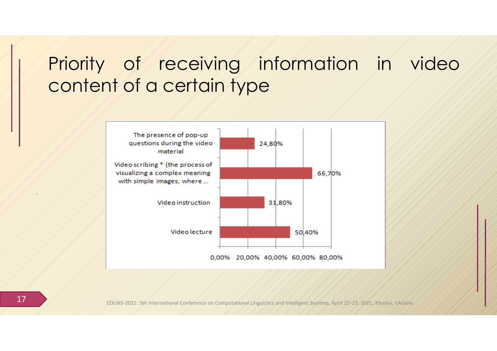### Priority of receiving information in video content of a certain type



17 COLINS-2021: 5th International Conference on Computational Linguistics and Intelligent Systems, April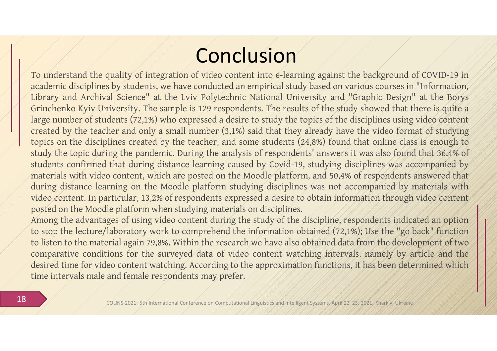### Conclusion

. video content. In particular, 13,2% of respondents expressed a desire to obtain information through video content To understand the quality of integration of video content into e-learning against the background of COVID-19 in academic disciplines by students, we have conducted an empirical study based on various courses in "Information, Library and Archival Science" at the Lviv Polytechnic National University and "Graphic Design" at the Borys Grinchenko Kyiv University. The sample is 129 respondents. The results of the study showed that there is quite a large number of students (72,1%) who expressed a desire to study the topics of the disciplines using video content created by the teacher and only a small number (3,1%) said that they already have the video format of studying topics on the disciplines created by the teacher, and some students (24,8%) found that online class is enough to study the topic during the pandemic. During the analysis of respondents' answers it was also found that 36,4% of students confirmed that during distance learning caused by Covid-19, studying disciplines was accompanied by materials with video content, which are posted on the Moodle platform, and 50,4% of respondents answered that during distance learning on the Moodle platform studying disciplines was not accompanied by materials with posted on the Moodle platform when studying materials on disciplines.

Among the advantages of using video content during the study of the discipline, respondents indicated an option to stop the lecture/laboratory work to comprehend the information obtained (72,1%); Use the "go back" function to listen to the material again 79,8%. Within the research we have also obtained data from the development of two comparative conditions for the surveyed data of video content watching intervals, namely by article and the desired time for video content watching. According to the approximation functions, it has been determined which time intervals male and female respondents may prefer.

18 COLINS-2021: 5th International Conference on Computational Linguistics and Intelligent Systems, April 22–23, 2021, Kharkiv, Ukraine